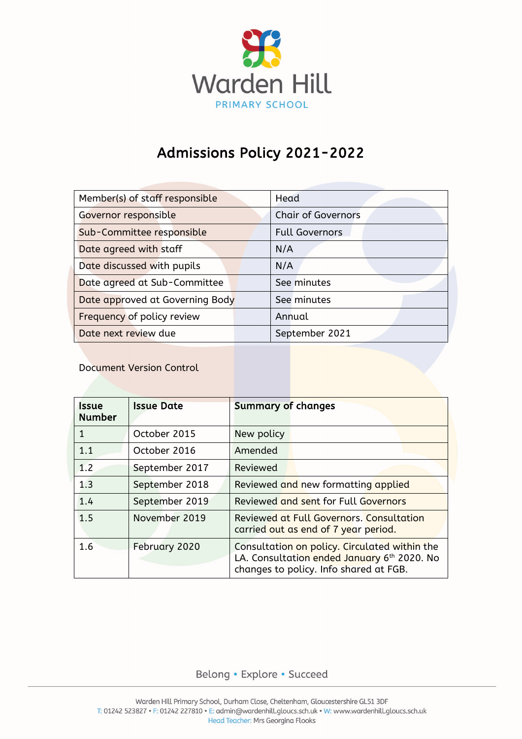

# Admissions Policy 2021-2022

| Member(s) of staff responsible  | Head                      |  |
|---------------------------------|---------------------------|--|
| Governor responsible            | <b>Chair of Governors</b> |  |
| Sub-Committee responsible       | <b>Full Governors</b>     |  |
| Date agreed with staff          | N/A                       |  |
| Date discussed with pupils      | N/A                       |  |
| Date agreed at Sub-Committee    | See minutes               |  |
| Date approved at Governing Body | See minutes               |  |
| Frequency of policy review      | Annual                    |  |
| Date next review due            | September 2021            |  |

Document Version Control

| Issue<br><b>Number</b> | <b>Issue Date</b> | <b>Summary of changes</b>                                                                                                              |
|------------------------|-------------------|----------------------------------------------------------------------------------------------------------------------------------------|
| 1                      | October 2015      | New policy                                                                                                                             |
| 1.1                    | October 2016      | Amended                                                                                                                                |
| 1.2                    | September 2017    | Reviewed                                                                                                                               |
| 1.3                    | September 2018    | Reviewed and new formatting applied                                                                                                    |
| 1.4                    | September 2019    | Reviewed and sent for Full Governors                                                                                                   |
| 1.5                    | November 2019     | Reviewed at Full Governors. Consultation<br>carried out as end of 7 year period.                                                       |
| 1.6                    | February 2020     | Consultation on policy. Circulated within the<br>LA. Consultation ended January 6th 2020. No<br>changes to policy. Info shared at FGB. |

# Belong · Explore · Succeed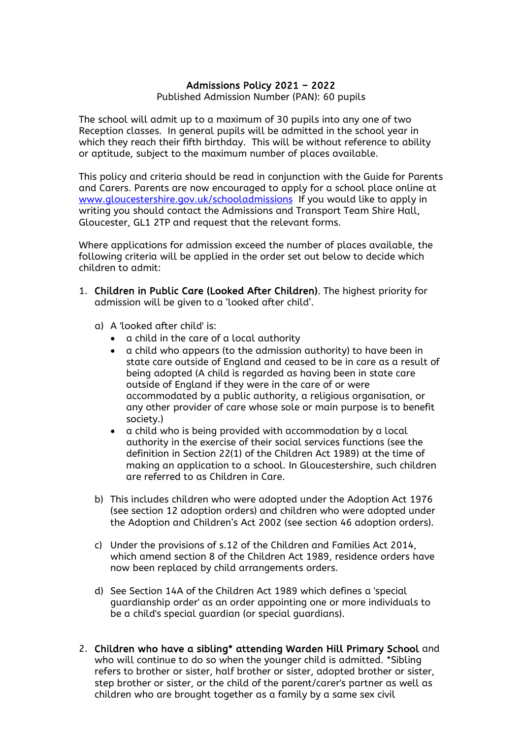# Admissions Policy 2021 – 2022

Published Admission Number (PAN): 60 pupils

The school will admit up to a maximum of 30 pupils into any one of two Reception classes. In general pupils will be admitted in the school year in which they reach their fifth birthday. This will be without reference to ability or aptitude, subject to the maximum number of places available.

This policy and criteria should be read in conjunction with the Guide for Parents and Carers. Parents are now encouraged to apply for a school place online at [www.gloucestershire.gov.uk/schooladmissions](http://www.gloucestershire.gov.uk/schooladmissions) If you would like to apply in writing you should contact the Admissions and Transport Team Shire Hall, Gloucester, GL1 2TP and request that the relevant forms.

Where applications for admission exceed the number of places available, the following criteria will be applied in the order set out below to decide which children to admit:

- 1. Children in Public Care (Looked After Children). The highest priority for admission will be given to a 'looked after child'.
	- a) A 'looked after child' is:
		- a child in the care of a local authority
		- a child who appears (to the admission authority) to have been in state care outside of England and ceased to be in care as a result of being adopted (A child is regarded as having been in state care outside of England if they were in the care of or were accommodated by a public authority, a religious organisation, or any other provider of care whose sole or main purpose is to benefit society.)
		- a child who is being provided with accommodation by a local authority in the exercise of their social services functions (see the definition in Section 22(1) of the Children Act 1989) at the time of making an application to a school. In Gloucestershire, such children are referred to as Children in Care.
	- b) This includes children who were adopted under the Adoption Act 1976 (see section 12 adoption orders) and children who were adopted under the Adoption and Children's Act 2002 (see section 46 adoption orders).
	- c) Under the provisions of s.12 of the Children and Families Act 2014, which amend section 8 of the Children Act 1989, residence orders have now been replaced by child arrangements orders.
	- d) See Section 14A of the Children Act 1989 which defines a 'special guardianship order' as an order appointing one or more individuals to be a child's special guardian (or special guardians).
- 2. Children who have a sibling\* attending Warden Hill Primary School and who will continue to do so when the younger child is admitted. \*Sibling refers to brother or sister, half brother or sister, adopted brother or sister, step brother or sister, or the child of the parent/carer's partner as well as children who are brought together as a family by a same sex civil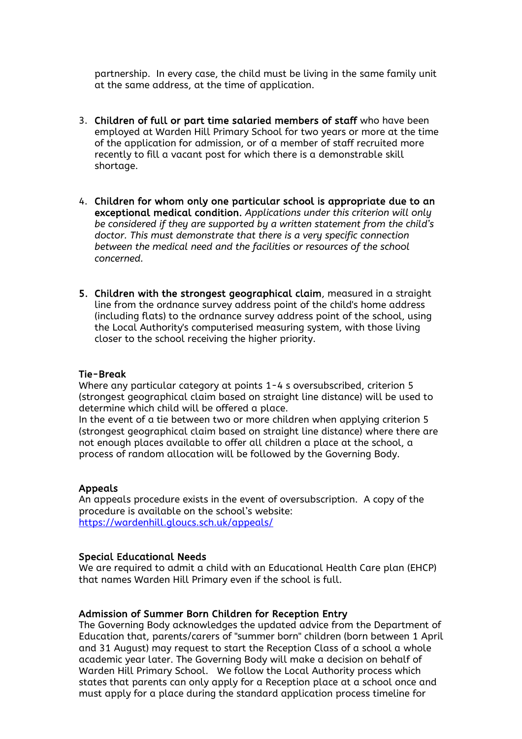partnership. In every case, the child must be living in the same family unit at the same address, at the time of application.

- 3. Children of full or part time salaried members of staff who have been employed at Warden Hill Primary School for two years or more at the time of the application for admission, or of a member of staff recruited more recently to fill a vacant post for which there is a demonstrable skill shortage.
- 4. Children for whom only one particular school is appropriate due to an exceptional medical condition. *Applications under this criterion will only be considered if they are supported by a written statement from the child's doctor. This must demonstrate that there is a very specific connection between the medical need and the facilities or resources of the school concerned.*
- 5. Children with the strongest geographical claim, measured in a straight line from the ordnance survey address point of the child's home address (including flats) to the ordnance survey address point of the school, using the Local Authority's computerised measuring system, with those living closer to the school receiving the higher priority.

#### Tie-Break

Where any particular category at points 1-4 s oversubscribed, criterion 5 (strongest geographical claim based on straight line distance) will be used to determine which child will be offered a place.

In the event of a tie between two or more children when applying criterion 5 (strongest geographical claim based on straight line distance) where there are not enough places available to offer all children a place at the school, a process of random allocation will be followed by the Governing Body.

#### Appeals

An appeals procedure exists in the event of oversubscription. A copy of the procedure is available on the school's website: <https://wardenhill.gloucs.sch.uk/appeals/>

#### Special Educational Needs

We are required to admit a child with an Educational Health Care plan (EHCP) that names Warden Hill Primary even if the school is full.

#### Admission of Summer Born Children for Reception Entry

The Governing Body acknowledges the updated advice from the Department of Education that, parents/carers of "summer born" children (born between 1 April and 31 August) may request to start the Reception Class of a school a whole academic year later. The Governing Body will make a decision on behalf of Warden Hill Primary School. We follow the Local Authority process which states that parents can only apply for a Reception place at a school once and must apply for a place during the standard application process timeline for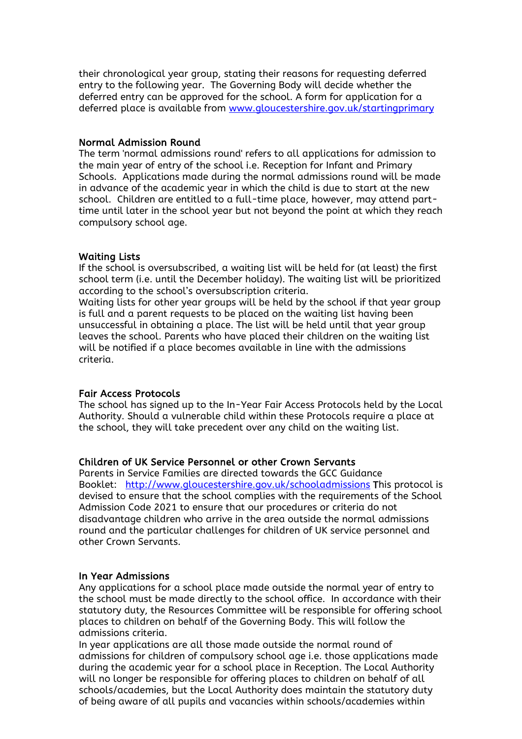their chronological year group, stating their reasons for requesting deferred entry to the following year. The Governing Body will decide whether the deferred entry can be approved for the school. A form for application for a deferred place is available from [www.gloucestershire.gov.uk/startingprimary](http://www.gloucestershire.gov.uk/startingprimary)

#### Normal Admission Round

The term 'normal admissions round' refers to all applications for admission to the main year of entry of the school i.e. Reception for Infant and Primary Schools. Applications made during the normal admissions round will be made in advance of the academic year in which the child is due to start at the new school. Children are entitled to a full-time place, however, may attend parttime until later in the school year but not beyond the point at which they reach compulsory school age.

# Waiting Lists

If the school is oversubscribed, a waiting list will be held for (at least) the first school term (i.e. until the December holiday). The waiting list will be prioritized according to the school's oversubscription criteria.

Waiting lists for other year groups will be held by the school if that year group is full and a parent requests to be placed on the waiting list having been unsuccessful in obtaining a place. The list will be held until that year group leaves the school. Parents who have placed their children on the waiting list will be notified if a place becomes available in line with the admissions criteria.

# Fair Access Protocols

The school has signed up to the In-Year Fair Access Protocols held by the Local Authority. Should a vulnerable child within these Protocols require a place at the school, they will take precedent over any child on the waiting list.

# Children of UK Service Personnel or other Crown Servants

Parents in Service Families are directed towards the GCC Guidance Booklet: <http://www.gloucestershire.gov.uk/schooladmissions> This protocol is devised to ensure that the school complies with the requirements of the School Admission Code 2021 to ensure that our procedures or criteria do not disadvantage children who arrive in the area outside the normal admissions round and the particular challenges for children of UK service personnel and other Crown Servants.

# In Year Admissions

Any applications for a school place made outside the normal year of entry to the school must be made directly to the school office. In accordance with their statutory duty, the Resources Committee will be responsible for offering school places to children on behalf of the Governing Body. This will follow the admissions criteria.

In year applications are all those made outside the normal round of admissions for children of compulsory school age i.e. those applications made during the academic year for a school place in Reception. The Local Authority will no longer be responsible for offering places to children on behalf of all schools/academies, but the Local Authority does maintain the statutory duty of being aware of all pupils and vacancies within schools/academies within